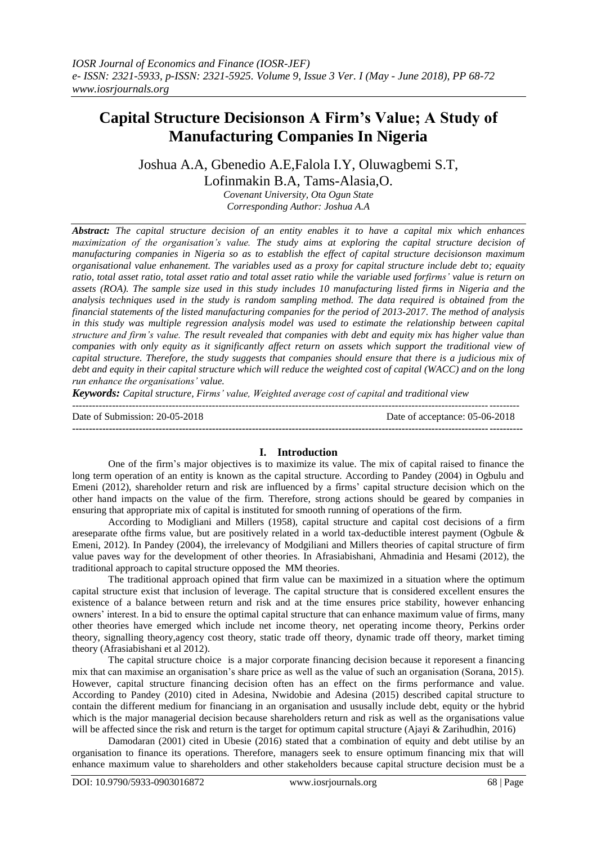# **Capital Structure Decisionson A Firm's Value; A Study of Manufacturing Companies In Nigeria**

Joshua A.A, Gbenedio A.E,Falola I.Y, Oluwagbemi S.T,

Lofinmakin B.A, Tams-Alasia,O.

*Covenant University, Ota Ogun State Corresponding Author: Joshua A.A*

*Abstract: The capital structure decision of an entity enables it to have a capital mix which enhances maximization of the organisation's value. The study aims at exploring the capital structure decision of manufacturing companies in Nigeria so as to establish the effect of capital structure decisionson maximum organisational value enhanement. The variables used as a proxy for capital structure include debt to; equaity ratio, total asset ratio, total asset ratio and total asset ratio while the variable used forfirms' value is return on assets (ROA). The sample size used in this study includes 10 manufacturing listed firms in Nigeria and the analysis techniques used in the study is random sampling method. The data required is obtained from the financial statements of the listed manufacturing companies for the period of 2013-2017. The method of analysis in this study was multiple regression analysis model was used to estimate the relationship between capital structure and firm's value. The result revealed that companies with debt and equity mix has higher value than companies with only equity as it significantly affect return on assets which support the traditional view of capital structure. Therefore, the study suggests that companies should ensure that there is a judicious mix of debt and equity in their capital structure which will reduce the weighted cost of capital (WACC) and on the long run enhance the organisations' value.*

*Keywords: Capital structure, Firms' value, Weighted average cost of capital and traditional view*

| Date of Submission: 20-05-2018 | Date of acceptance: 05-06-2018 |
|--------------------------------|--------------------------------|
|                                |                                |
|                                |                                |

# **I. Introduction**

One of the firm's major objectives is to maximize its value. The mix of capital raised to finance the long term operation of an entity is known as the capital structure. According to Pandey (2004) in Ogbulu and Emeni (2012), shareholder return and risk are influenced by a firms' capital structure decision which on the other hand impacts on the value of the firm. Therefore, strong actions should be geared by companies in ensuring that appropriate mix of capital is instituted for smooth running of operations of the firm.

According to Modigliani and Millers (1958), capital structure and capital cost decisions of a firm areseparate ofthe firms value, but are positively related in a world tax-deductible interest payment (Ogbule & Emeni, 2012). In Pandey (2004), the irrelevancy of Modgiliani and Millers theories of capital structure of firm value paves way for the development of other theories. In Afrasiabishani, Ahmadinia and Hesami (2012), the traditional approach to capital structure opposed the MM theories.

The traditional approach opined that firm value can be maximized in a situation where the optimum capital structure exist that inclusion of leverage. The capital structure that is considered excellent ensures the existence of a balance between return and risk and at the time ensures price stability, however enhancing owners' interest. In a bid to ensure the optimal capital structure that can enhance maximum value of firms, many other theories have emerged which include net income theory, net operating income theory, Perkins order theory, signalling theory,agency cost theory, static trade off theory, dynamic trade off theory, market timing theory (Afrasiabishani et al 2012).

The capital structure choice is a major corporate financing decision because it reporesent a financing mix that can maximise an organisation's share price as well as the value of such an organisation (Sorana, 2015). However, capital structure financing decision often has an effect on the firms performance and value. According to Pandey (2010) cited in Adesina, Nwidobie and Adesina (2015) described capital structure to contain the different medium for financiang in an organisation and ususally include debt, equity or the hybrid which is the major managerial decision because shareholders return and risk as well as the organisations value will be affected since the risk and return is the target for optimum capital structure (Ajayi & Zarihudhin, 2016)

Damodaran (2001) cited in Ubesie (2016) stated that a combination of equity and debt utilise by an organisation to finance its operations. Therefore, managers seek to ensure optimum financing mix that will enhance maximum value to shareholders and other stakeholders because capital structure decision must be a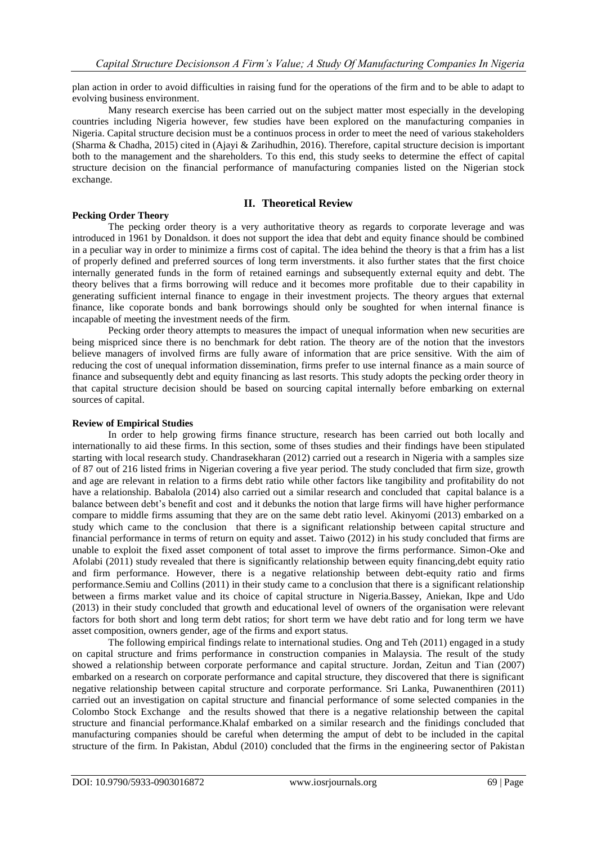plan action in order to avoid difficulties in raising fund for the operations of the firm and to be able to adapt to evolving business environment.

Many research exercise has been carried out on the subject matter most especially in the developing countries including Nigeria however, few studies have been explored on the manufacturing companies in Nigeria. Capital structure decision must be a continuos process in order to meet the need of various stakeholders (Sharma & Chadha, 2015) cited in (Ajayi & Zarihudhin, 2016). Therefore, capital structure decision is important both to the management and the shareholders. To this end, this study seeks to determine the effect of capital structure decision on the financial performance of manufacturing companies listed on the Nigerian stock exchange.

# **II. Theoretical Review**

# **Pecking Order Theory**

The pecking order theory is a very authoritative theory as regards to corporate leverage and was introduced in 1961 by Donaldson. it does not support the idea that debt and equity finance should be combined in a peculiar way in order to minimize a firms cost of capital. The idea behind the theory is that a frim has a list of properly defined and preferred sources of long term inverstments. it also further states that the first choice internally generated funds in the form of retained earnings and subsequently external equity and debt. The theory belives that a firms borrowing will reduce and it becomes more profitable due to their capability in generating sufficient internal finance to engage in their investment projects. The theory argues that external finance, like coporate bonds and bank borrowings should only be soughted for when internal finance is incapable of meeting the investment needs of the firm.

Pecking order theory attempts to measures the impact of unequal information when new securities are being mispriced since there is no benchmark for debt ration. The theory are of the notion that the investors believe managers of involved firms are fully aware of information that are price sensitive. With the aim of reducing the cost of unequal information dissemination, firms prefer to use internal finance as a main source of finance and subsequently debt and equity financing as last resorts. This study adopts the pecking order theory in that capital structure decision should be based on sourcing capital internally before embarking on external sources of capital.

# **Review of Empirical Studies**

In order to help growing firms finance structure, research has been carried out both locally and internationally to aid these firms. In this section, some of thses studies and their findings have been stipulated starting with local research study. Chandrasekharan (2012) carried out a research in Nigeria with a samples size of 87 out of 216 listed frims in Nigerian covering a five year period. The study concluded that firm size, growth and age are relevant in relation to a firms debt ratio while other factors like tangibility and profitability do not have a relationship. Babalola (2014) also carried out a similar research and concluded that capital balance is a balance between debt's benefit and cost and it debunks the notion that large firms will have higher performance compare to middle firms assuming that they are on the same debt ratio level. Akinyomi (2013) embarked on a study which came to the conclusion that there is a significant relationship between capital structure and financial performance in terms of return on equity and asset. Taiwo (2012) in his study concluded that firms are unable to exploit the fixed asset component of total asset to improve the firms performance. Simon-Oke and Afolabi (2011) study revealed that there is significantly relationship between equity financing,debt equity ratio and firm performance. However, there is a negative relationship between debt-equity ratio and firms performance.Semiu and Collins (2011) in their study came to a conclusion that there is a significant relationship between a firms market value and its choice of capital structure in Nigeria.Bassey, Aniekan, Ikpe and Udo (2013) in their study concluded that growth and educational level of owners of the organisation were relevant factors for both short and long term debt ratios; for short term we have debt ratio and for long term we have asset composition, owners gender, age of the firms and export status.

The following empirical findings relate to international studies. Ong and Teh (2011) engaged in a study on capital structure and frims performance in construction companies in Malaysia. The result of the study showed a relationship between corporate performance and capital structure. Jordan, Zeitun and Tian (2007) embarked on a research on corporate performance and capital structure, they discovered that there is significant negative relationship between capital structure and corporate performance. Sri Lanka, Puwanenthiren (2011) carried out an investigation on capital structure and financial performance of some selected companies in the Colombo Stock Exchange and the results showed that there is a negative relationship between the capital structure and financial performance.Khalaf embarked on a similar research and the finidings concluded that manufacturing companies should be careful when determing the amput of debt to be included in the capital structure of the firm. In Pakistan, Abdul (2010) concluded that the firms in the engineering sector of Pakistan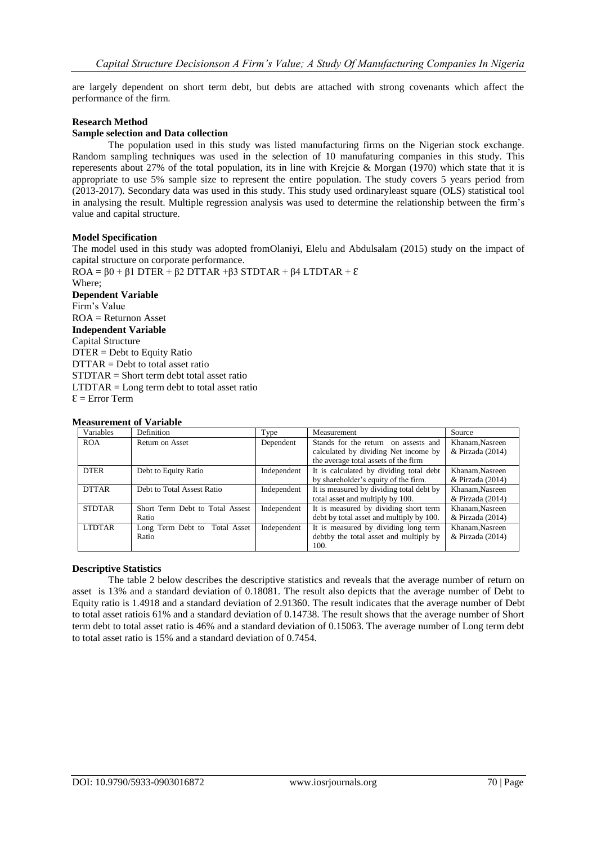are largely dependent on short term debt, but debts are attached with strong covenants which affect the performance of the firm.

# **Research Method**

# **Sample selection and Data collection**

The population used in this study was listed manufacturing firms on the Nigerian stock exchange. Random sampling techniques was used in the selection of 10 manufaturing companies in this study. This reperesents about 27% of the total population, its in line with Krejcie & Morgan (1970) which state that it is appropriate to use 5% sample size to represent the entire population. The study covers 5 years period from (2013-2017). Secondary data was used in this study. This study used ordinaryleast square (OLS) statistical tool in analysing the result. Multiple regression analysis was used to determine the relationship between the firm's value and capital structure.

# **Model Specification**

The model used in this study was adopted fromOlaniyi, Elelu and Abdulsalam (2015) study on the impact of capital structure on corporate performance.

$$
ROA = \beta 0 + \beta 1 \text{ DTER} + \beta 2 \text{ DTTAR} + \beta 3 \text{ STDTAR} + \beta 4 \text{ LTDTAR} + \epsilon
$$
  
Where;  
**Dependent Variable**  
Firm's Value  
ROA = Returnon Asset  
**Independent Variable**  
Capital Structure  
DTER = Debt to Equity Ratio  
DTTAR = Debt to total asset ratio  
STDTAR = Short term debt total asset ratio  
LTDTAR = Long term debt to total asset ratio  
 $\epsilon = Error Term$ 

#### **Measurement of Variable**

| Variables     | <b>Definition</b>                       | Type        | Measurement                              | Source           |
|---------------|-----------------------------------------|-------------|------------------------------------------|------------------|
| <b>ROA</b>    | Return on Asset                         | Dependent   | Stands for the return on assests and     | Khanam.Nasreen   |
|               |                                         |             | calculated by dividing Net income by     | & Pirzada (2014) |
|               |                                         |             | the average total assets of the firm     |                  |
| <b>DTER</b>   | Debt to Equity Ratio                    | Independent | It is calculated by dividing total debt  | Khanam, Nasreen  |
|               |                                         |             | by shareholder's equity of the firm.     | & Pirzada (2014) |
| <b>DTTAR</b>  | Debt to Total Assest Ratio              | Independent | It is measured by dividing total debt by | Khanam.Nasreen   |
|               |                                         |             | total asset and multiply by 100.         | & Pirzada (2014) |
| <b>STDTAR</b> | Short Term Debt to Total Assest         | Independent | It is measured by dividing short term    | Khanam, Nasreen  |
|               | Ratio                                   |             | debt by total asset and multiply by 100. | & Pirzada (2014) |
| <b>LTDTAR</b> | Long Term Debt to<br><b>Total Asset</b> | Independent | It is measured by dividing long term     | Khanam.Nasreen   |
|               | Ratio                                   |             | debtby the total asset and multiply by   | & Pirzada (2014) |
|               |                                         |             | 100.                                     |                  |

# **Descriptive Statistics**

The table 2 below describes the descriptive statistics and reveals that the average number of return on asset is 13% and a standard deviation of 0.18081. The result also depicts that the average number of Debt to Equity ratio is 1.4918 and a standard deviation of 2.91360. The result indicates that the average number of Debt to total asset ratiois 61% and a standard deviation of 0.14738. The result shows that the average number of Short term debt to total asset ratio is 46% and a standard deviation of 0.15063. The average number of Long term debt to total asset ratio is 15% and a standard deviation of 0.7454.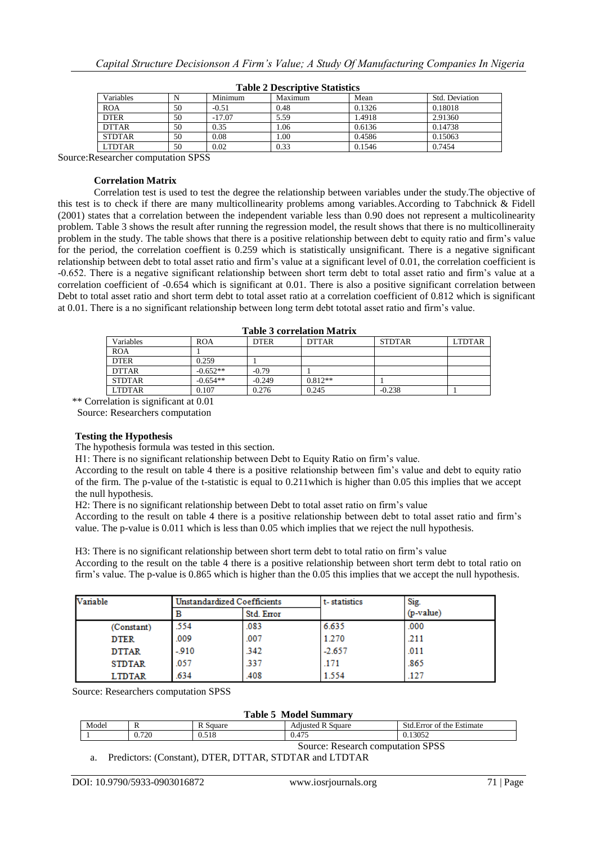| Variables     |    | Minimum  | Maximum | Mean   | Std. Deviation |
|---------------|----|----------|---------|--------|----------------|
| <b>ROA</b>    | 50 | $-0.51$  | 0.48    | 0.1326 | 0.18018        |
| <b>DTER</b>   | 50 | $-17.07$ | 5.59    | 1.4918 | 2.91360        |
| <b>DTTAR</b>  | 50 | 0.35     | 1.06    | 0.6136 | 0.14738        |
| <b>STDTAR</b> | 50 | 0.08     | 1.00    | 0.4586 | 0.15063        |
| LTDTAR        | 50 | 0.02     | 0.33    | 0.1546 | 0.7454         |

**Table 2 Descriptive Statistics**

Source:Researcher computation SPSS

## **Correlation Matrix**

Correlation test is used to test the degree the relationship between variables under the study.The objective of this test is to check if there are many multicollinearity problems among variables.According to Tabchnick & Fidell (2001) states that a correlation between the independent variable less than 0.90 does not represent a multicolinearity problem. Table 3 shows the result after running the regression model, the result shows that there is no multicollineraity problem in the study. The table shows that there is a positive relationship between debt to equity ratio and firm's value for the period, the correlation coeffient is 0.259 which is statistically unsignificant. There is a negative significant relationship between debt to total asset ratio and firm's value at a significant level of 0.01, the correlation coefficient is -0.652. There is a negative significant relationship between short term debt to total asset ratio and firm's value at a correlation coefficient of -0.654 which is significant at 0.01. There is also a positive significant correlation between Debt to total asset ratio and short term debt to total asset ratio at a correlation coefficient of 0.812 which is significant at 0.01. There is a no significant relationship between long term debt tototal asset ratio and firm's value.

#### **Table 3 correlation Matrix**

| Variables     | <b>ROA</b> | <b>DTER</b> | <b>DTTAR</b> | <b>STDTAR</b> | <b>LTDTAR</b> |
|---------------|------------|-------------|--------------|---------------|---------------|
| <b>ROA</b>    |            |             |              |               |               |
| <b>DTER</b>   | 0.259      |             |              |               |               |
| <b>DTTAR</b>  | $-0.652**$ | $-0.79$     |              |               |               |
| <b>STDTAR</b> | $-0.654**$ | $-0.249$    | $0.812**$    |               |               |
| <b>LTDTAR</b> | 0.107      | 0.276       | 0.245        | $-0.238$      |               |

\*\* Correlation is significant at 0.01

Source: Researchers computation

# **Testing the Hypothesis**

The hypothesis formula was tested in this section.

H1: There is no significant relationship between Debt to Equity Ratio on firm's value.

According to the result on table 4 there is a positive relationship between fim's value and debt to equity ratio of the firm. The p-value of the t-statistic is equal to 0.211which is higher than 0.05 this implies that we accept the null hypothesis.

H2: There is no significant relationship between Debt to total asset ratio on firm's value

According to the result on table 4 there is a positive relationship between debt to total asset ratio and firm's value. The p-value is 0.011 which is less than 0.05 which implies that we reject the null hypothesis.

H3: There is no significant relationship between short term debt to total ratio on firm's value According to the result on the table 4 there is a positive relationship between short term debt to total ratio on firm's value. The p-value is 0.865 which is higher than the 0.05 this implies that we accept the null hypothesis.

| Variable      | Unstandardized Coefficients |            | t-statistics | Sig.      |
|---------------|-----------------------------|------------|--------------|-----------|
|               | в                           | Std. Error |              | (p-value) |
| (Constant)    | .554                        | .083       | 6.635        | .000      |
| <b>DTER</b>   | .009                        | .007       | 1.270        | .211      |
| <b>DTTAR</b>  | $-910$                      | .342       | $-2.657$     | .011      |
| <b>STDTAR</b> | .057                        | .337       | .171         | .865      |
| <b>LTDTAR</b> | .634                        | .408       | 1.554        | .127      |

Source: Researchers computation SPSS

#### **Table 5 Model Summary**

| ---------<br>------------------------ |                                      |            |                                   |                                         |  |
|---------------------------------------|--------------------------------------|------------|-----------------------------------|-----------------------------------------|--|
| Model                                 |                                      | Square     | Square<br>Adjusted R              | -<br>Estimate<br>Std.Error<br>the<br>ΟĪ |  |
|                                       | 720<br>$\mathbf{v} \cdot \mathbf{v}$ | 518<br>U.J | $\rightarrow$<br>. .<br>$V - I -$ | 13052                                   |  |

Source: Research computation SPSS

a. Predictors: (Constant), DTER, DTTAR, STDTAR and LTDTAR